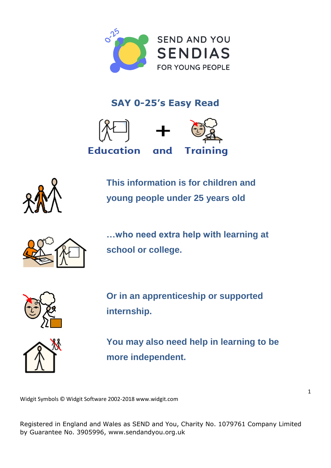

## **SAY 0-25's Easy Read**





**This information is for children and young people under 25 years old**



**…who need extra help with learning at school or college.**



**Or in an apprenticeship or supported internship.**



**You may also need help in learning to be more independent.**

Widgit Symbols © Widgit Software 2002-2018 [www.widgit.com](http://www.widgit.com)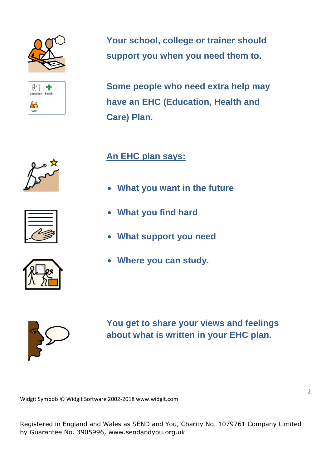

(∦□ ╬ education health ff care

**Your school, college or trainer should support you when you need them to.**

**Some people who need extra help may have an EHC (Education, Health and Care) Plan.**







**An EHC plan says:**

- **What you want in the future**
- **What you find hard**
- **What support you need**
- **Where you can study.**



**You get to share your views and feelings about what is written in your EHC plan.**

Widgit Symbols © Widgit Software 2002-2018 [www.widgit.com](http://www.widgit.com)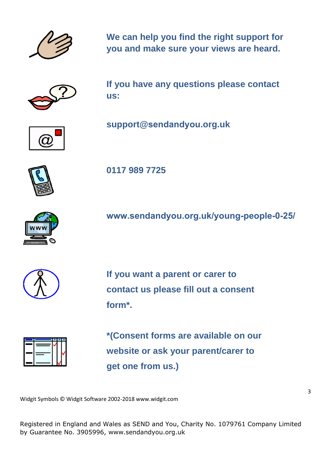

**We can help you find the right support for you and make sure your views are heard.**



**If you have any questions please contact us:** 



**[support@](mailto:support@sendandyou.org.uk)[sendandyou](mailto:support@sendandyou.org.uk)[.org.uk](mailto:support@sendandyou.org.uk)**



**0117 989 7725**

**[www.sendandyou.org.uk/young-people-0-25/](http://www.sendandyou.org.uk/young-people-0-25/)**



**If you want a parent or carer to contact us please fill out a consent form\*.** 



**\*(Consent forms are available on our website or ask your parent/carer to get one from us.)** 

Widgit Symbols © Widgit Software 2002-2018 [www.widgit.com](http://www.widgit.com)